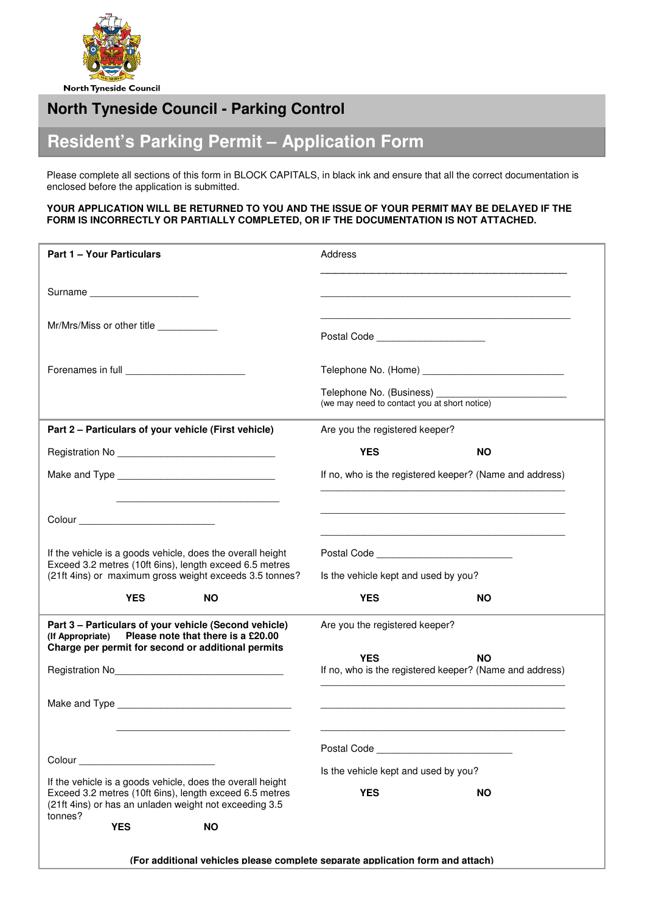

# **North Tyneside Council - Parking Control**

# **Resident's Parking Permit – Application Form**

Please complete all sections of this form in BLOCK CAPITALS, in black ink and ensure that all the correct documentation is enclosed before the application is submitted.

# **YOUR APPLICATION WILL BE RETURNED TO YOU AND THE ISSUE OF YOUR PERMIT MAY BE DELAYED IF THE FORM IS INCORRECTLY OR PARTIALLY COMPLETED, OR IF THE DOCUMENTATION IS NOT ATTACHED.**

| <b>Part 1 - Your Particulars</b>                                                                                                                                                                                               | Address                                                               |           |
|--------------------------------------------------------------------------------------------------------------------------------------------------------------------------------------------------------------------------------|-----------------------------------------------------------------------|-----------|
| Surname                                                                                                                                                                                                                        |                                                                       |           |
| Mr/Mrs/Miss or other title ____________                                                                                                                                                                                        | Postal Code ______________________                                    |           |
| Forenames in full expansion of the state of the state of the state of the state of the state of the state of the state of the state of the state of the state of the state of the state of the state of the state of the state |                                                                       |           |
|                                                                                                                                                                                                                                | (we may need to contact you at short notice)                          |           |
| Part 2 - Particulars of your vehicle (First vehicle)                                                                                                                                                                           | Are you the registered keeper?                                        |           |
|                                                                                                                                                                                                                                | <b>YES</b>                                                            | <b>NO</b> |
|                                                                                                                                                                                                                                | If no, who is the registered keeper? (Name and address)               |           |
|                                                                                                                                                                                                                                |                                                                       |           |
| If the vehicle is a goods vehicle, does the overall height                                                                                                                                                                     |                                                                       |           |
| Exceed 3.2 metres (10ft 6ins), length exceed 6.5 metres<br>(21ft 4ins) or maximum gross weight exceeds 3.5 tonnes?                                                                                                             | Is the vehicle kept and used by you?                                  |           |
| <b>YES</b><br><b>NO</b>                                                                                                                                                                                                        | <b>YES</b>                                                            | <b>NO</b> |
| Part 3 - Particulars of your vehicle (Second vehicle)<br>Please note that there is a £20.00<br>(If Appropriate)<br>Charge per permit for second or additional permits                                                          | Are you the registered keeper?                                        |           |
|                                                                                                                                                                                                                                | <b>YES</b><br>If no, who is the registered keeper? (Name and address) | <b>NO</b> |
| Make and Type and the state of the state of the state of the state of the state of the state of the state of the state of the state of the state of the state of the state of the state of the state of the state of the state |                                                                       |           |
| Colour <b>Colour Colour</b>                                                                                                                                                                                                    | Postal Code <b>Community</b> Postal Code                              |           |
| If the vehicle is a goods vehicle, does the overall height                                                                                                                                                                     | Is the vehicle kept and used by you?                                  |           |
| Exceed 3.2 metres (10ft 6ins), length exceed 6.5 metres<br>(21ft 4ins) or has an unladen weight not exceeding 3.5<br>tonnes?                                                                                                   | <b>YES</b>                                                            | <b>NO</b> |
| <b>YES</b><br><b>NO</b>                                                                                                                                                                                                        |                                                                       |           |
| (For additional vehicles please complete separate application form and attach)                                                                                                                                                 |                                                                       |           |